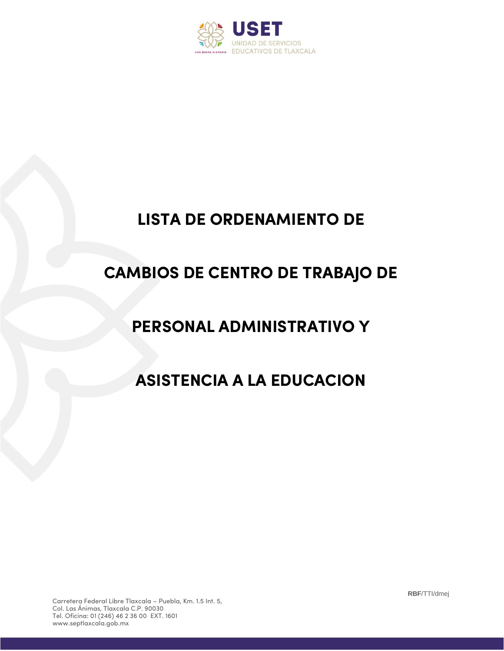

## **LISTA DE ORDENAMIENTO DE**

## **CAMBIOS DE CENTRO DE TRABAJO DE**

## **PERSONAL ADMINISTRATIVO Y**

## **ASISTENCIA A LA EDUCACION**

**RBF**/TTI/dmej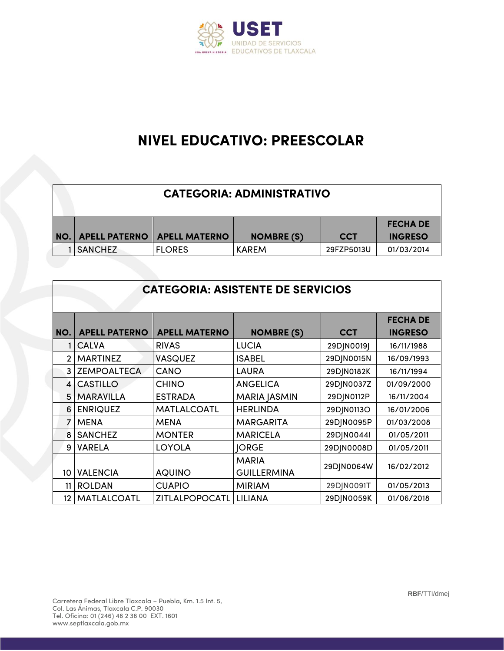

### **NIVEL EDUCATIVO: PREESCOLAR**

| <b>CATEGORIA: ADMINISTRATIVO</b> |                      |                   |            |                 |  |  |
|----------------------------------|----------------------|-------------------|------------|-----------------|--|--|
|                                  |                      |                   |            | <b>FECHA DE</b> |  |  |
| <b>NO.   APELL PATERNO</b>       | <b>APELL MATERNO</b> | <b>NOMBRE (S)</b> | <b>CCT</b> | <b>INGRESO</b>  |  |  |
| 1 I SANCHEZ                      | <b>FLORES</b>        | KAREM             | 29FZP5013U | 01/03/2014      |  |  |

|                 | <b>CATEGORIA: ASISTENTE DE SERVICIOS</b> |                      |                     |            |                                   |  |  |  |
|-----------------|------------------------------------------|----------------------|---------------------|------------|-----------------------------------|--|--|--|
| NO.             | <b>APELL PATERNO</b>                     | <b>APELL MATERNO</b> | <b>NOMBRE (S)</b>   | <b>CCT</b> | <b>FECHA DE</b><br><b>INGRESO</b> |  |  |  |
|                 | <b>CALVA</b>                             | <b>RIVAS</b>         | <b>LUCIA</b>        | 29DJN0019J | 16/11/1988                        |  |  |  |
| $\mathcal{P}$   | <b>MARTINEZ</b>                          | <b>VASQUEZ</b>       | <b>ISABEL</b>       | 29DJN0015N | 16/09/1993                        |  |  |  |
| 3               | <b>ZEMPOALTECA</b>                       | CANO                 | <b>LAURA</b>        | 29DJN0182K | 16/11/1994                        |  |  |  |
| $\overline{4}$  | <b>CASTILLO</b>                          | <b>CHINO</b>         | <b>ANGELICA</b>     | 29DJN0037Z | 01/09/2000                        |  |  |  |
| 5               | <b>MARAVILLA</b>                         | <b>ESTRADA</b>       | <b>MARIA JASMIN</b> | 29DJN0112P | 16/11/2004                        |  |  |  |
| 6               | <b>ENRIQUEZ</b>                          | MATLALCOATL          | <b>HERLINDA</b>     | 29DJN0113O | 16/01/2006                        |  |  |  |
| $\overline{7}$  | <b>MENA</b>                              | MENA                 | <b>MARGARITA</b>    | 29DJN0095P | 01/03/2008                        |  |  |  |
| 8               | <b>SANCHEZ</b>                           | <b>MONTER</b>        | <b>MARICELA</b>     | 29DJN0044I | 01/05/2011                        |  |  |  |
| 9               | <b>VARELA</b>                            | <b>LOYOLA</b>        | <b>IORGE</b>        | 29DJN0008D | 01/05/2011                        |  |  |  |
|                 |                                          |                      | <b>MARIA</b>        | 29DJN0064W | 16/02/2012                        |  |  |  |
| 10 <sup>°</sup> | <b>VALENCIA</b>                          | <b>AQUINO</b>        | <b>GUILLERMINA</b>  |            |                                   |  |  |  |
| 11              | <b>ROLDAN</b>                            | <b>CUAPIO</b>        | <b>MIRIAM</b>       | 29DJN0091T | 01/05/2013                        |  |  |  |
| 12 I            | MATLALCOATL                              | ZITLALPOPOCATL       | <b>LILIANA</b>      | 29DJN0059K | 01/06/2018                        |  |  |  |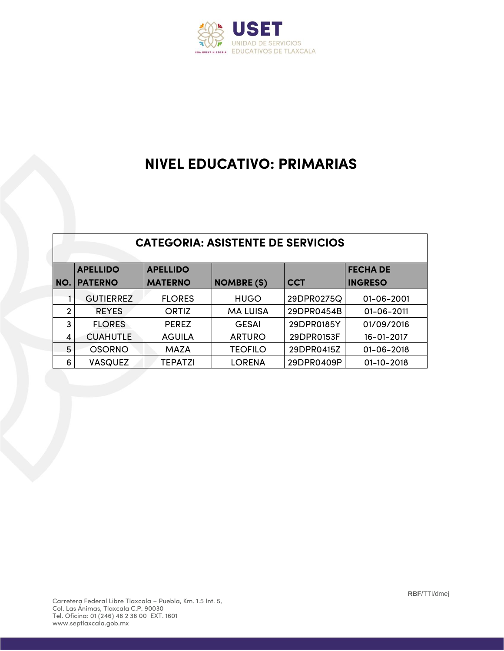

#### **NIVEL EDUCATIVO: PRIMARIAS**

|   | <b>CATEGORIA: ASISTENTE DE SERVICIOS</b> |                 |                   |            |                  |  |  |  |
|---|------------------------------------------|-----------------|-------------------|------------|------------------|--|--|--|
|   | <b>APELLIDO</b>                          | <b>APELLIDO</b> |                   |            | <b>FECHA DE</b>  |  |  |  |
|   | <b>PATERNO</b>                           | <b>MATERNO</b>  | <b>NOMBRE (S)</b> | <b>CCT</b> | <b>INGRESO</b>   |  |  |  |
|   | <b>GUTIERREZ</b>                         | <b>FLORES</b>   | <b>HUGO</b>       | 29DPR0275Q | 01-06-2001       |  |  |  |
| 2 | <b>REYES</b>                             | ORTIZ           | <b>MA LUISA</b>   | 29DPR0454B | $01 - 06 - 2011$ |  |  |  |
| 3 | <b>FLORES</b>                            | <b>PEREZ</b>    | <b>GESAI</b>      | 29DPR0185Y | 01/09/2016       |  |  |  |

4 CUAHUTLE AGUILA | ARTURO 29DPR0153F 16-01-2017 5 OSORNO MAZA TEOFILO 29DPR0415Z 01-06-2018 6 VASQUEZ TEPATZI LORENA 29DPR0409P 01-10-2018

**NO.**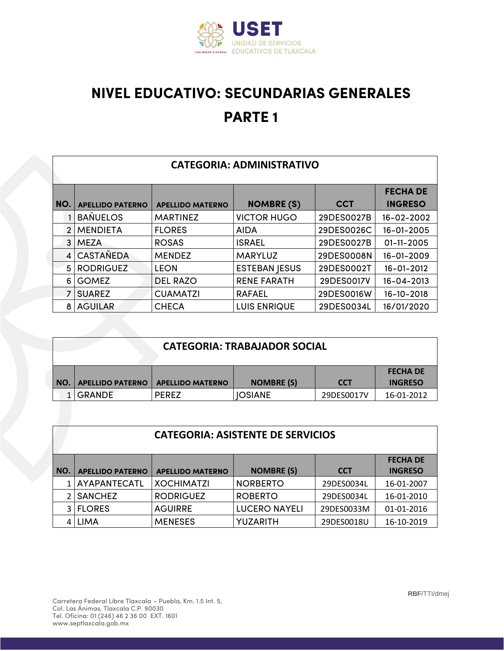

# **NIVEL EDUCATIVO: SECUNDARIAS GENERALES PARTE 1**

| <b>CATEGORIA: ADMINISTRATIVO</b> |                         |                         |                      |            |                 |  |  |
|----------------------------------|-------------------------|-------------------------|----------------------|------------|-----------------|--|--|
|                                  |                         |                         |                      |            | <b>FECHA DE</b> |  |  |
| I NO.                            | <b>APELLIDO PATERNO</b> | <b>APELLIDO MATERNO</b> | <b>NOMBRE (S)</b>    | <b>CCT</b> | <b>INGRESO</b>  |  |  |
|                                  | <b>BANUELOS</b>         | <b>MARTINEZ</b>         | <b>VICTOR HUGO</b>   | 29DES0027B | 16-02-2002      |  |  |
| $\mathcal{P}$                    | <b>MENDIETA</b>         | <b>FLORES</b>           | <b>AIDA</b>          | 29DES0026C | 16-01-2005      |  |  |
| 3 <sup>1</sup>                   | <b>MEZA</b>             | <b>ROSAS</b>            | <b>ISRAEL</b>        | 29DES0027B | 01-11-2005      |  |  |
|                                  | <b>CASTANEDA</b>        | <b>MENDEZ</b>           | <b>MARYLUZ</b>       | 29DES0008N | 16-01-2009      |  |  |
| 5.                               | <b>RODRIGUEZ</b>        | <b>LEON</b>             | <b>ESTEBAN JESUS</b> | 29DES0002T | 16-01-2012      |  |  |
| 6.                               | <b>GOMEZ</b>            | <b>DEL RAZO</b>         | <b>RENE FARATH</b>   | 29DES0017V | 16-04-2013      |  |  |
|                                  | <b>SUAREZ</b>           | <b>CUAMATZI</b>         | <b>RAFAEL</b>        | 29DES0016W | 16-10-2018      |  |  |
|                                  | <b>AGUILAR</b>          | <b>CHECA</b>            | <b>LUIS ENRIQUE</b>  | 29DES0034L | 16/01/2020      |  |  |

|       | <b>CATEGORIA: TRABAJADOR SOCIAL</b> |                         |                   |            |                 |  |
|-------|-------------------------------------|-------------------------|-------------------|------------|-----------------|--|
|       |                                     |                         |                   |            | <b>FECHA DE</b> |  |
| I NO. | <b>APELLIDO PATERNO</b>             | <b>APELLIDO MATERNO</b> | <b>NOMBRE (S)</b> | <b>CCT</b> | <b>INGRESO</b>  |  |
|       | 1 GRANDE                            | <b>PEREZ</b>            | <b>IOSIANE</b>    | 29DES0017V | 16-01-2012      |  |

|       | <b>CATEGORIA: ASISTENTE DE SERVICIOS</b>                                                                                   |                   |                      |            |            |  |  |  |
|-------|----------------------------------------------------------------------------------------------------------------------------|-------------------|----------------------|------------|------------|--|--|--|
| l NO. | <b>FECHA DE</b><br><b>NOMBRE (S)</b><br><b>INGRESO</b><br><b>CCT</b><br><b>APELLIDO PATERNO</b><br><b>APELLIDO MATERNO</b> |                   |                      |            |            |  |  |  |
|       | <b>AYAPANTECATL</b>                                                                                                        | <b>XOCHIMATZI</b> | <b>NORBERTO</b>      | 29DES0034L | 16-01-2007 |  |  |  |
|       | <b>SANCHEZ</b>                                                                                                             | <b>RODRIGUEZ</b>  | <b>ROBERTO</b>       | 29DES0034L | 16-01-2010 |  |  |  |
| 31    | <b>FLORES</b>                                                                                                              | <b>AGUIRRE</b>    | <b>LUCERO NAYELI</b> | 29DES0033M | 01-01-2016 |  |  |  |
|       | <b>LIMA</b>                                                                                                                | <b>MENESES</b>    | YUZARITH             | 29DES0018U | 16-10-2019 |  |  |  |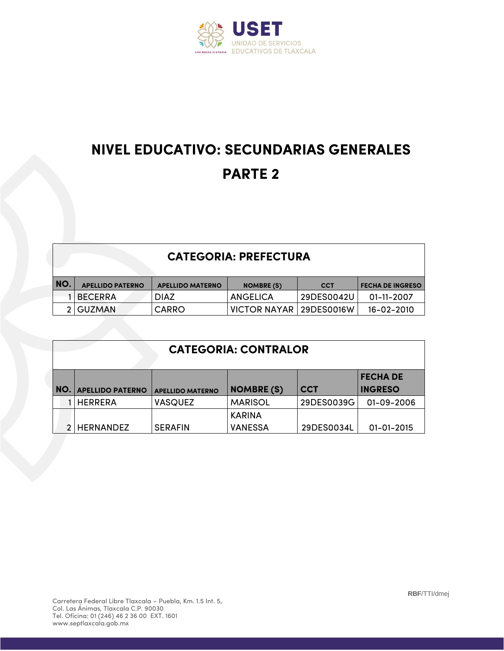

# **NIVEL EDUCATIVO: SECUNDARIAS GENERALES PARTE 2**

#### **CATEGORIA: PREFECTURA**

| NO. | <b>APELLIDO PATERNO</b> | <b>APELLIDO MATERNO</b> | <b>NOMBRE (S)</b>         | <b>CCT</b> | <b>FECHA DE INGRESO</b> |
|-----|-------------------------|-------------------------|---------------------------|------------|-------------------------|
|     | 1 I BECERRA             | <b>DIAZ</b>             | ANGELICA                  | 29DES0042U | 01-11-2007              |
|     | 2 GUZMAN                | CARRO                   | VICTOR NAYAR   29DES0016W |            | $16 - 02 - 2010$        |

|     | <b>CATEGORIA: CONTRALOR</b> |                         |                   |            |                  |  |  |
|-----|-----------------------------|-------------------------|-------------------|------------|------------------|--|--|
|     | <b>FECHADE</b>              |                         |                   |            |                  |  |  |
| NO. | <b>APELLIDO PATERNO</b>     | <b>APELLIDO MATERNO</b> | <b>NOMBRE (S)</b> | <b>CCT</b> | <b>INGRESO</b>   |  |  |
|     | <b>HERRERA</b>              | <b>VASQUEZ</b>          | <b>MARISOL</b>    | 29DES0039G | 01-09-2006       |  |  |
|     |                             |                         | <b>KARINA</b>     |            |                  |  |  |
|     | <b>HERNANDEZ</b>            | <b>SERAFIN</b>          | <b>VANESSA</b>    | 29DES0034L | $01 - 01 - 2015$ |  |  |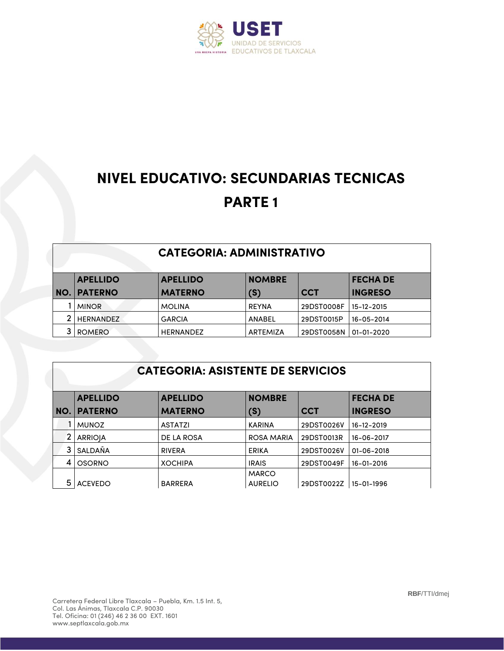

# **NIVEL EDUCATIVO: SECUNDARIAS TECNICAS PARTE 1**

| <b>APELLIDO</b> | <b>APELLIDO</b>  | <b>NOMBRE</b> |            | <b>FECHA DE</b> |
|-----------------|------------------|---------------|------------|-----------------|
| NO. PATERNO     | <b>MATERNO</b>   | (S)           | <b>CCT</b> | <b>INGRESO</b>  |
| <b>MINOR</b>    | <b>MOLINA</b>    | <b>REYNA</b>  | 29DST0008F | 15-12-2015      |
| 2 HERNANDEZ     | <b>GARCIA</b>    | ANABEL        | 29DST0015P | 16-05-2014      |
| ROMERO          | <b>HERNANDEZ</b> | ARTEMIZA      | 29DST0058N | 01-01-2020      |

#### **CATEGORIA: ASISTENTE DE SERVICIOS**

|     | <b>APELLIDO</b> | <b>APELLIDO</b> | <b>NOMBRE</b>     |            | <b>FECHA DE</b> |
|-----|-----------------|-----------------|-------------------|------------|-----------------|
| NO. | <b>PATERNO</b>  | <b>MATERNO</b>  | (S)               | <b>CCT</b> | <b>INGRESO</b>  |
|     | <b>MUNOZ</b>    | <b>ASTATZI</b>  | <b>KARINA</b>     | 29DST0026V | 16-12-2019      |
|     | <b>ARRIOIA</b>  | DE LA ROSA      | <b>ROSA MARIA</b> | 29DST0013R | 16-06-2017      |
|     | <b>SALDAÑA</b>  | <b>RIVERA</b>   | <b>ERIKA</b>      | 29DST0026V | 01-06-2018      |
|     | OSORNO          | <b>XOCHIPA</b>  | <b>IRAIS</b>      | 29DST0049F | 16-01-2016      |
|     |                 |                 | <b>MARCO</b>      |            |                 |
| 5   | <b>ACEVEDO</b>  | <b>BARRERA</b>  | <b>AURELIO</b>    | 29DST0022Z | 15-01-1996      |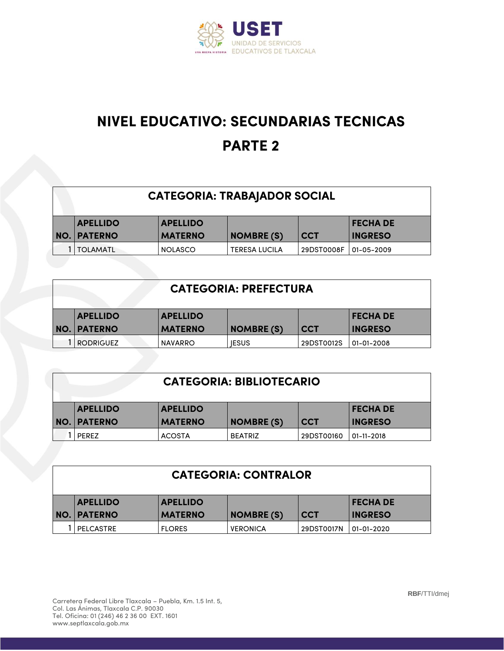

# **NIVEL EDUCATIVO: SECUNDARIAS TECNICAS PARTE 2**

| <b>CATEGORIA: TRABAJADOR SOCIAL</b> |                    |                 |                      |            |                 |  |
|-------------------------------------|--------------------|-----------------|----------------------|------------|-----------------|--|
|                                     | <b>APELLIDO</b>    | <b>APELLIDO</b> |                      |            | <b>FECHA DE</b> |  |
|                                     | <b>NO. PATERNO</b> | <b>MATERNO</b>  | <b>NOMBRE (S)</b>    | <b>CCT</b> | <b>INGRESO</b>  |  |
|                                     | <b>I TOLAMATL</b>  | <b>NOLASCO</b>  | <b>TERESA LUCILA</b> | 29DST0008F | 01-05-2009      |  |

| <b>CATEGORIA: PREFECTURA</b> |                 |                   |            |                 |  |  |
|------------------------------|-----------------|-------------------|------------|-----------------|--|--|
| <b>APELLIDO</b>              | <b>APELLIDO</b> |                   |            | <b>FECHA DE</b> |  |  |
| NO. PATERNO                  | <b>MATERNO</b>  | <b>NOMBRE (S)</b> | <b>CCT</b> | <b>INGRESO</b>  |  |  |
| <b>RODRIGUEZ</b>             | <b>NAVARRO</b>  | <b>IESUS</b>      | 29DST0012S | 01-01-2008      |  |  |

| <b>CATEGORIA: BIBLIOTECARIO</b> |                    |                 |                   |            |                 |  |  |
|---------------------------------|--------------------|-----------------|-------------------|------------|-----------------|--|--|
|                                 | <b>APELLIDO</b>    | <b>APELLIDO</b> |                   |            | <b>FECHA DE</b> |  |  |
|                                 | <b>NO. PATERNO</b> | <b>MATERNO</b>  | <b>NOMBRE (S)</b> | <b>CCT</b> | <b>INGRESO</b>  |  |  |
|                                 | PEREZ              | <b>ACOSTA</b>   | <b>BEATRIZ</b>    | 29DST00160 | 01-11-2018      |  |  |

| <b>CATEGORIA: CONTRALOR</b> |                                                       |                |                   |            |                |  |  |
|-----------------------------|-------------------------------------------------------|----------------|-------------------|------------|----------------|--|--|
|                             | <b>APELLIDO</b><br><b>APELLIDO</b><br><b>FECHA DE</b> |                |                   |            |                |  |  |
|                             | NO. PATERNO                                           | <b>MATERNO</b> | <b>NOMBRE (S)</b> | <b>CCT</b> | <b>INGRESO</b> |  |  |
|                             | <b>PELCASTRE</b>                                      | <b>FLORES</b>  | <b>VERONICA</b>   | 29DST0017N | 01-01-2020     |  |  |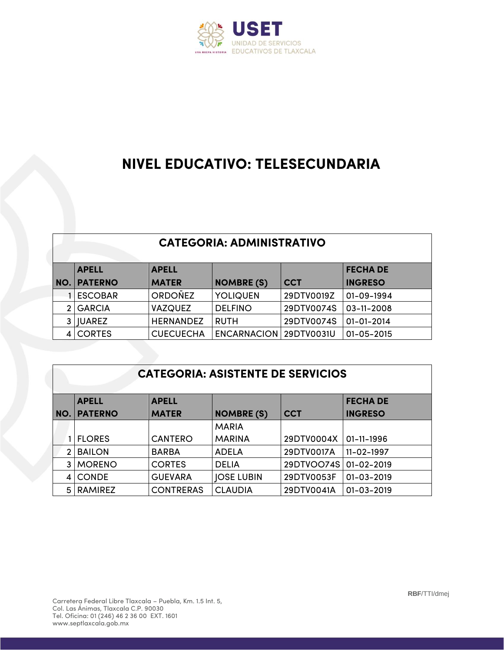

### **NIVEL EDUCATIVO: TELESECUNDARIA**

#### **CATEGORIA: ADMINISTRATIVO**

| <b>APELL</b>       | <b>APELL</b>     |                        |            | <b>FECHA DE</b>  |  |  |
|--------------------|------------------|------------------------|------------|------------------|--|--|
| <b>NO. PATERNO</b> | <b>MATER</b>     | <b>NOMBRE (S)</b>      | <b>CCT</b> | <b>INGRESO</b>   |  |  |
| <b>LESCOBAR</b>    | <b>ORDONEZ</b>   | <b>YOLIQUEN</b>        | 29DTV0019Z | 01-09-1994       |  |  |
| 2 GARCIA           | <b>VAZQUEZ</b>   | <b>DELFINO</b>         | 29DTV0074S | $03 - 11 - 2008$ |  |  |
| 3   JUAREZ         | <b>HERNANDEZ</b> | <b>RUTH</b>            | 29DTV0074S | $01 - 01 - 2014$ |  |  |
| <b>CORTES</b>      | <b>CUECUECHA</b> | ENCARNACION 29DTV0031U |            | $01 - 05 - 2015$ |  |  |

#### **CATEGORIA: ASISTENTE DE SERVICIOS**

|     | <b>APELL</b>   | <b>APELL</b>     |                   |            | <b>FECHA DE</b>  |
|-----|----------------|------------------|-------------------|------------|------------------|
| NO. | <b>PATERNO</b> | <b>MATER</b>     | <b>NOMBRE (S)</b> | <b>CCT</b> | <b>INGRESO</b>   |
|     |                |                  | <b>MARIA</b>      |            |                  |
|     | <b>IFLORES</b> | <b>CANTERO</b>   | <b>MARINA</b>     | 29DTV0004X | $01 - 11 - 1996$ |
| 2   | <b>BAILON</b>  | <b>BARBA</b>     | <b>ADELA</b>      | 29DTV0017A | 11-02-1997       |
| 3 I | <b>MORENO</b>  | <b>CORTES</b>    | <b>DELIA</b>      | 29DTVOO74S | $01 - 02 - 2019$ |
|     | <b>CONDE</b>   | <b>GUEVARA</b>   | <b>JOSE LUBIN</b> | 29DTV0053F | $01 - 03 - 2019$ |
| 5 I | <b>RAMIREZ</b> | <b>CONTRERAS</b> | <b>CLAUDIA</b>    | 29DTV0041A | $01 - 03 - 2019$ |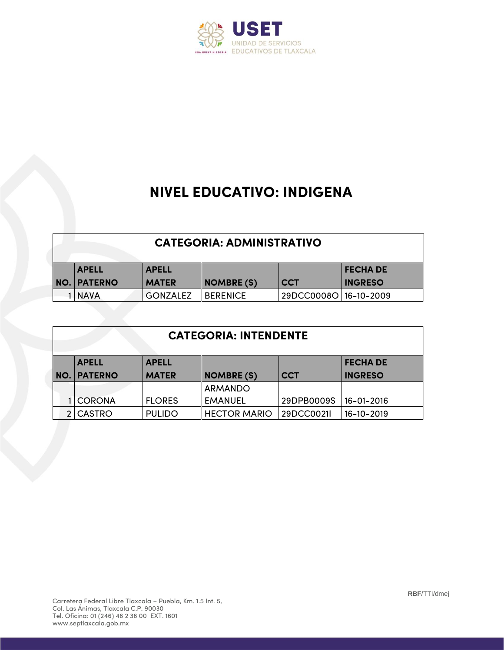

### **NIVEL EDUCATIVO: INDIGENA**

| <b>CATEGORIA: ADMINISTRATIVO</b>                |                 |                   |                         |                |  |  |  |
|-------------------------------------------------|-----------------|-------------------|-------------------------|----------------|--|--|--|
| <b>FECHA DE</b><br><b>APELL</b><br><b>APELL</b> |                 |                   |                         |                |  |  |  |
| <b>NO. PATERNO</b>                              | <b>MATER</b>    | <b>NOMBRE (S)</b> | <b>CCT</b>              | <b>INGRESO</b> |  |  |  |
| <b>INAVA</b>                                    | <b>GONZALEZ</b> | <b>BERENICE</b>   | 29DCC0008O   16-10-2009 |                |  |  |  |

|            | <b>CATEGORIA: INTENDENTE</b>                    |               |                     |            |                |  |  |  |
|------------|-------------------------------------------------|---------------|---------------------|------------|----------------|--|--|--|
|            | <b>FECHA DE</b><br><b>APELL</b><br><b>APELL</b> |               |                     |            |                |  |  |  |
| <b>NO.</b> | <b>IPATERNO</b>                                 | <b>MATER</b>  | <b>NOMBRE (S)</b>   | <b>CCT</b> | <b>INGRESO</b> |  |  |  |
|            |                                                 |               | <b>ARMANDO</b>      |            |                |  |  |  |
|            | <b>ICORONA</b>                                  | <b>FLORES</b> | <b>EMANUEL</b>      | 29DPB0009S | 16-01-2016     |  |  |  |
|            | 2 CASTRO                                        | <b>PULIDO</b> | <b>HECTOR MARIO</b> | 29DCC0021  | 16-10-2019     |  |  |  |